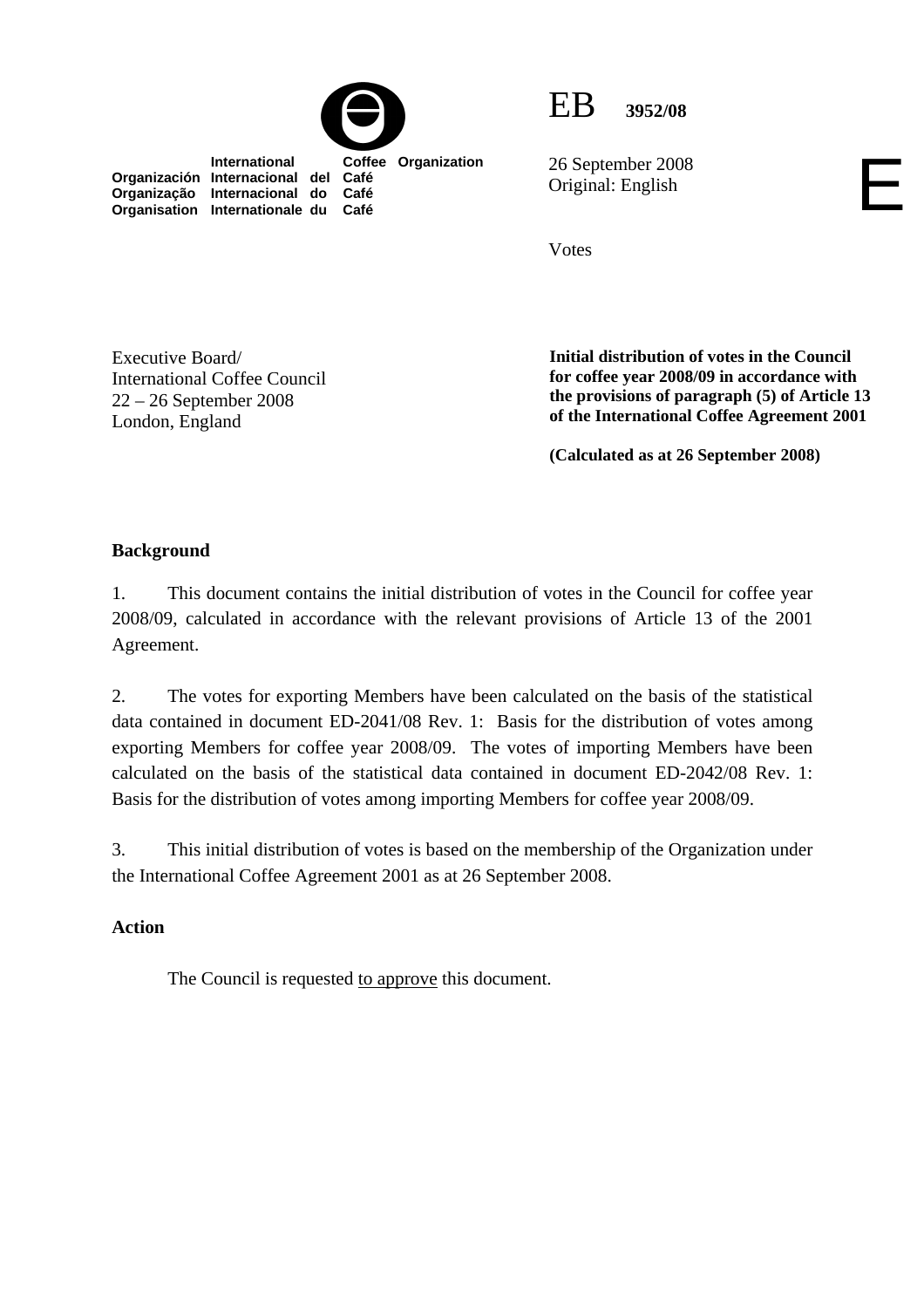

 **International Coffee Organization** 



26 September 2008 Original: English

Votes

Executive Board/ International Coffee Council 22 – 26 September 2008 London, England

**Organización Internacional del Café Organização Internacional do Café Organisation Internationale du** 

> **Initial distribution of votes in the Council for coffee year 2008/09 in accordance with the provisions of paragraph (5) of Article 13 of the International Coffee Agreement 2001**

E

**(Calculated as at 26 September 2008)**

## **Background**

1. This document contains the initial distribution of votes in the Council for coffee year 2008/09, calculated in accordance with the relevant provisions of Article 13 of the 2001 Agreement.

2. The votes for exporting Members have been calculated on the basis of the statistical data contained in document ED-2041/08 Rev. 1: Basis for the distribution of votes among exporting Members for coffee year 2008/09. The votes of importing Members have been calculated on the basis of the statistical data contained in document ED-2042/08 Rev. 1: Basis for the distribution of votes among importing Members for coffee year 2008/09.

3. This initial distribution of votes is based on the membership of the Organization under the International Coffee Agreement 2001 as at 26 September 2008.

## **Action**

The Council is requested to approve this document.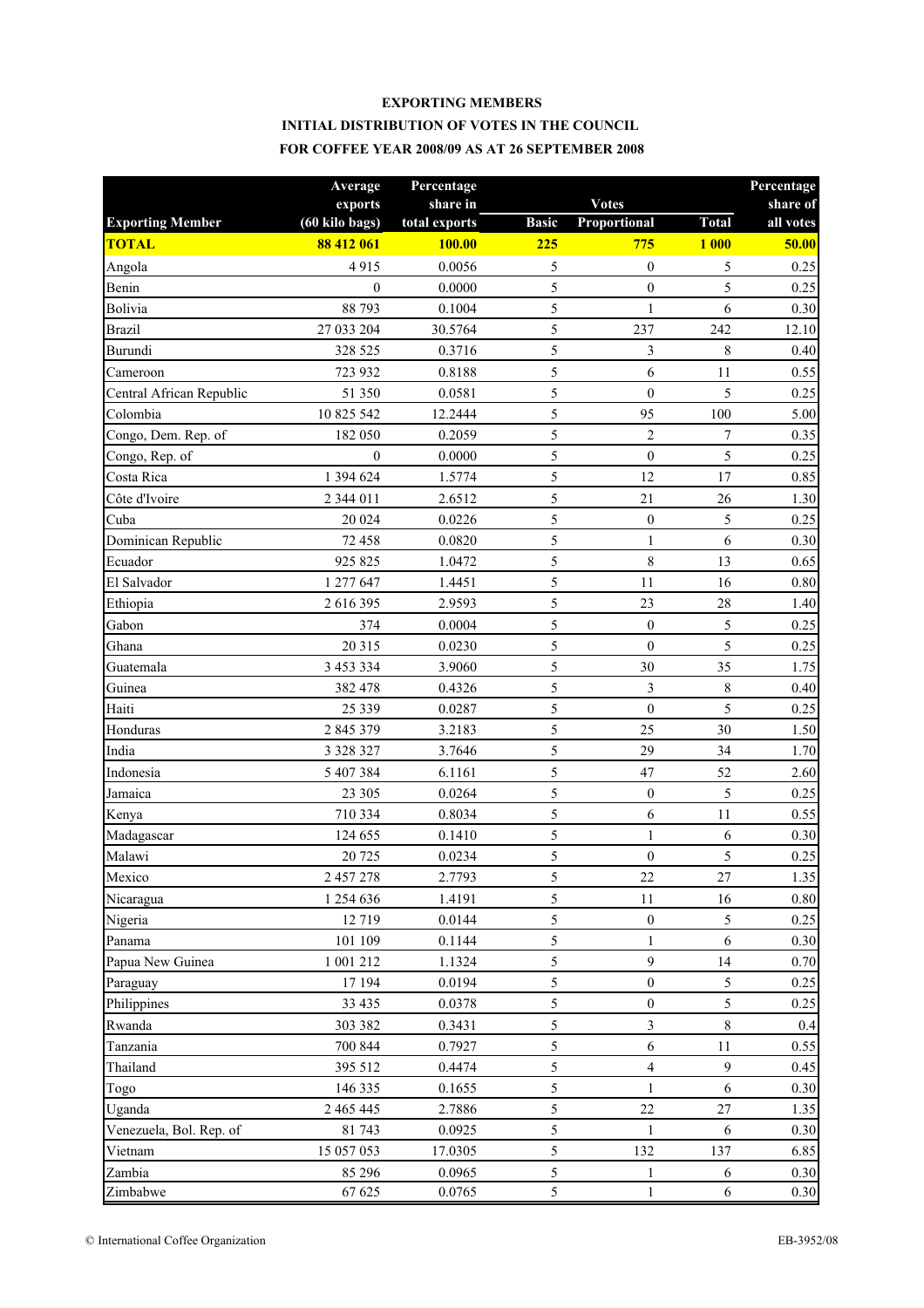## **EXPORTING MEMBERS INITIAL DISTRIBUTION OF VOTES IN THE COUNCIL FOR COFFEE YEAR 2008/09 AS AT 26 SEPTEMBER 2008**

|                          | Average          | Percentage    |              |                  |              | Percentage |
|--------------------------|------------------|---------------|--------------|------------------|--------------|------------|
|                          | exports          | share in      |              | <b>Votes</b>     |              | share of   |
| <b>Exporting Member</b>  | (60 kilo bags)   | total exports | <b>Basic</b> | Proportional     | <b>Total</b> | all votes  |
| <b>TOTAL</b>             | 88 412 061       | <b>100.00</b> | 225          | 775              | <b>1 000</b> | 50.00      |
| Angola                   | 4915             | 0.0056        | 5            | $\boldsymbol{0}$ | 5            | 0.25       |
| Benin                    | $\mathbf{0}$     | 0.0000        | 5            | $\boldsymbol{0}$ | 5            | 0.25       |
| Bolivia                  | 88 793           | 0.1004        | 5            | $\mathbf{1}$     | 6            | 0.30       |
| <b>Brazil</b>            | 27 033 204       | 30.5764       | 5            | 237              | 242          | 12.10      |
| Burundi                  | 328 525          | 0.3716        | 5            | $\mathfrak{Z}$   | $\,8\,$      | 0.40       |
| Cameroon                 | 723 932          | 0.8188        | 5            | 6                | 11           | 0.55       |
| Central African Republic | 51 350           | 0.0581        | 5            | $\boldsymbol{0}$ | 5            | 0.25       |
| Colombia                 | 10 825 542       | 12.2444       | 5            | 95               | 100          | 5.00       |
| Congo, Dem. Rep. of      | 182 050          | 0.2059        | 5            | $\overline{2}$   | 7            | 0.35       |
| Congo, Rep. of           | $\boldsymbol{0}$ | 0.0000        | 5            | $\boldsymbol{0}$ | 5            | 0.25       |
| Costa Rica               | 1 394 624        | 1.5774        | 5            | 12               | 17           | 0.85       |
| Côte d'Ivoire            | 2 344 011        | 2.6512        | 5            | 21               | $26\,$       | 1.30       |
| Cuba                     | 20 024           | 0.0226        | 5            | $\boldsymbol{0}$ | 5            | 0.25       |
| Dominican Republic       | 72 458           | 0.0820        | 5            | $\mathbf{1}$     | 6            | 0.30       |
| Ecuador                  | 925 825          | 1.0472        | 5            | $\,8\,$          | 13           | 0.65       |
| El Salvador              | 1 277 647        | 1.4451        | 5            | 11               | 16           | 0.80       |
| Ethiopia                 | 2 616 395        | 2.9593        | 5            | 23               | 28           | 1.40       |
| Gabon                    | 374              | 0.0004        | 5            | $\boldsymbol{0}$ | 5            | 0.25       |
| Ghana                    | 20 315           | 0.0230        | 5            | $\mathbf{0}$     | 5            | 0.25       |
| Guatemala                | 3 453 334        | 3.9060        | 5            | 30               | 35           | 1.75       |
| Guinea                   | 382 478          | 0.4326        | 5            | 3                | $\,$ $\,$    | 0.40       |
| Haiti                    | 25 3 3 9         | 0.0287        | 5            | $\boldsymbol{0}$ | 5            | 0.25       |
| Honduras                 | 2 845 379        | 3.2183        | 5            | 25               | 30           | 1.50       |
| India                    | 3 3 28 3 27      | 3.7646        | 5            | 29               | 34           | 1.70       |
| Indonesia                | 5 407 384        | 6.1161        | 5            | 47               | 52           | 2.60       |
| Jamaica                  | 23 305           | 0.0264        | 5            | $\boldsymbol{0}$ | 5            | 0.25       |
| Kenya                    | 710 334          | 0.8034        | 5            | 6                | 11           | 0.55       |
| Madagascar               | 124 655          | 0.1410        | 5            | 1                | 6            | 0.30       |
| Malawi                   | 20 725           | 0.0234        | 5            | $\boldsymbol{0}$ | 5            | 0.25       |
| Mexico                   | 2 457 278        | 2.7793        | 5            | $22\,$           | $27\,$       | 1.35       |
| Nicaragua                | 1 254 636        | 1.4191        | 5            | $11\,$           | 16           | $0.80\,$   |
| Nigeria                  | 12719            | 0.0144        | 5            | $\boldsymbol{0}$ | 5            | 0.25       |
| Panama                   | 101 109          | 0.1144        | 5            | $\mathbf{1}$     | 6            | 0.30       |
| Papua New Guinea         | 1 001 212        | 1.1324        | 5            | 9                | 14           | 0.70       |
| Paraguay                 | 17 194           | 0.0194        | 5            | $\boldsymbol{0}$ | 5            | 0.25       |
| Philippines              | 33 4 35          | 0.0378        | 5            | $\boldsymbol{0}$ | 5            | 0.25       |
| Rwanda                   | 303 382          | 0.3431        | 5            | $\overline{3}$   | $8\,$        | 0.4        |
| Tanzania                 | 700 844          | 0.7927        | 5            | $\sqrt{6}$       | 11           | 0.55       |
| Thailand                 | 395 512          | 0.4474        | 5            | $\overline{4}$   | 9            | 0.45       |
| Togo                     | 146 335          | 0.1655        | $\sqrt{5}$   | 1                | 6            | 0.30       |
| Uganda                   | 2 465 445        | 2.7886        | 5            | 22               | $27\,$       | 1.35       |
| Venezuela, Bol. Rep. of  | 81 743           | 0.0925        | 5            | $\mathbf{1}$     | 6            | 0.30       |
| Vietnam                  | 15 057 053       | 17.0305       | 5            | 132              | 137          | 6.85       |
| Zambia                   | 85 29 6          | 0.0965        | $\sqrt{5}$   | $\mathbf{1}$     | 6            | 0.30       |
| Zimbabwe                 | 67 625           | 0.0765        | 5            | $\mathbf{1}$     | 6            | 0.30       |